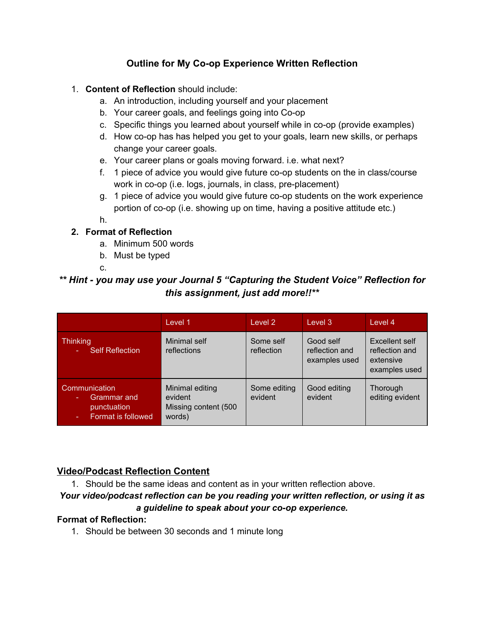# **Outline for My Co-op Experience Written Reflection**

### 1. **Content of Reflection** should include:

- a. An introduction, including yourself and your placement
- b. Your career goals, and feelings going into Co-op
- c. Specific things you learned about yourself while in co-op (provide examples)
- d. How co-op has has helped you get to your goals, learn new skills, or perhaps change your career goals.
- e. Your career plans or goals moving forward. i.e. what next?
- f. 1 piece of advice you would give future co-op students on the in class/course work in co-op (i.e. logs, journals, in class, pre-placement)
- g. 1 piece of advice you would give future co-op students on the work experience portion of co-op (i.e. showing up on time, having a positive attitude etc.)

h.

## **2. Format of Reflection**

- a. Minimum 500 words
- b. Must be typed

c.

# *\*\* Hint you may use your Journal 5 "Capturing the Student Voice" Reflection for this assignment, just add more!!\*\**

|                                                                   | Level 1                                                      | Level 2                 | Level 3                                      | Level 4                                                        |
|-------------------------------------------------------------------|--------------------------------------------------------------|-------------------------|----------------------------------------------|----------------------------------------------------------------|
| Thinking<br><b>Self Reflection</b>                                | Minimal self<br>reflections                                  | Some self<br>reflection | Good self<br>reflection and<br>examples used | Excellent self<br>reflection and<br>extensive<br>examples used |
| Communication<br>Grammar and<br>punctuation<br>Format is followed | Minimal editing<br>evident<br>Missing content (500<br>words) | Some editing<br>evident | Good editing<br>evident                      | Thorough<br>editing evident                                    |

## **Video/Podcast Reflection Content**

1. Should be the same ideas and content as in your written reflection above.

#### *Your video/podcast reflection can be you reading your written reflection, or using it as a guideline to speak about your coop experience.*

## **Format of Reflection:**

1. Should be between 30 seconds and 1 minute long